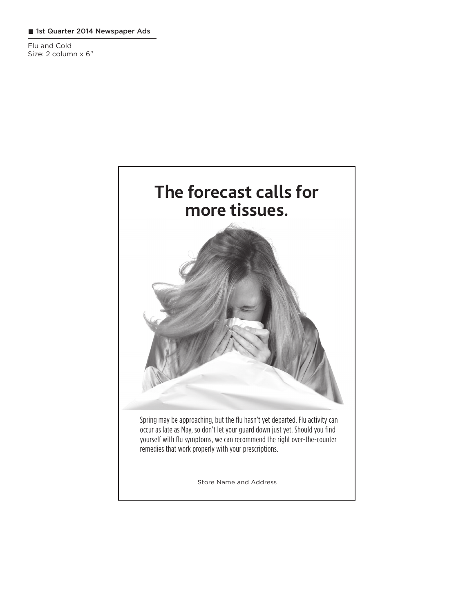### 1st Quarter 2014 Newspaper Ads

Flu and Cold Size: 2 column x 6"

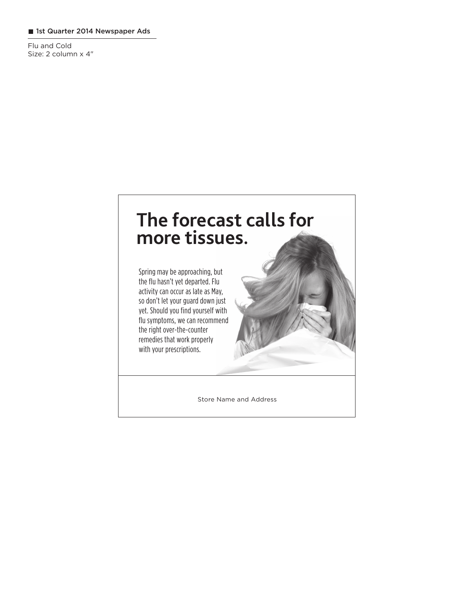#### 1st Quarter 2014 Newspaper Ads

Flu and Cold Size: 2 column x 4"

# **The forecast calls for more tissues.**

Spring may be approaching, but the flu hasn't yet departed. Flu activity can occur as late as May, so don't let your guard down just yet. Should you find yourself with flu symptoms, we can recommend the right over-the-counter remedies that work properly with your prescriptions.

Store Name and Address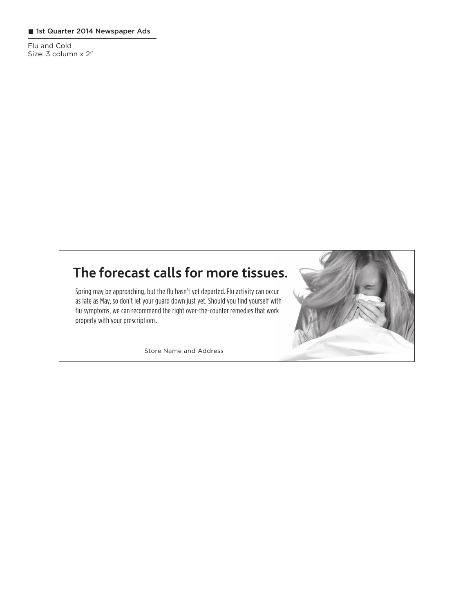## 1st Quarter 2014 Newspaper Ads

Flu and Cold Size: 3 column x 2"

# **The forecast calls for more tissues.**

Spring may be approaching, but the flu hasn't yet departed. Flu activity can occur as late as May, so don't let your guard down just yet. Should you find yourself with flu symptoms, we can recommend the right over-the-counter remedies that work properly with your prescriptions.

Store Name and Address